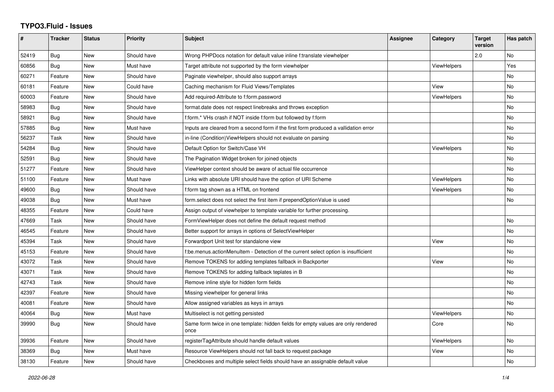## **TYPO3.Fluid - Issues**

| $\pmb{\#}$ | <b>Tracker</b> | <b>Status</b> | <b>Priority</b> | <b>Subject</b>                                                                            | <b>Assignee</b> | Category           | <b>Target</b><br>version | Has patch |
|------------|----------------|---------------|-----------------|-------------------------------------------------------------------------------------------|-----------------|--------------------|--------------------------|-----------|
| 52419      | Bug            | New           | Should have     | Wrong PHPDocs notation for default value inline f:translate viewhelper                    |                 |                    | 2.0                      | No        |
| 60856      | Bug            | <b>New</b>    | Must have       | Target attribute not supported by the form viewhelper                                     |                 | ViewHelpers        |                          | Yes       |
| 60271      | Feature        | New           | Should have     | Paginate viewhelper, should also support arrays                                           |                 |                    |                          | No        |
| 60181      | Feature        | New           | Could have      | Caching mechanism for Fluid Views/Templates                                               |                 | View               |                          | <b>No</b> |
| 60003      | Feature        | New           | Should have     | Add required-Attribute to f:form.password                                                 |                 | ViewHelpers        |                          | <b>No</b> |
| 58983      | Bug            | New           | Should have     | format.date does not respect linebreaks and throws exception                              |                 |                    |                          | <b>No</b> |
| 58921      | Bug            | New           | Should have     | f:form.* VHs crash if NOT inside f:form but followed by f:form                            |                 |                    |                          | No        |
| 57885      | <b>Bug</b>     | <b>New</b>    | Must have       | Inputs are cleared from a second form if the first form produced a vallidation error      |                 |                    |                          | <b>No</b> |
| 56237      | Task           | New           | Should have     | in-line (Condition) View Helpers should not evaluate on parsing                           |                 |                    |                          | No        |
| 54284      | Bug            | New           | Should have     | Default Option for Switch/Case VH                                                         |                 | <b>ViewHelpers</b> |                          | <b>No</b> |
| 52591      | Bug            | <b>New</b>    | Should have     | The Pagination Widget broken for joined objects                                           |                 |                    |                          | <b>No</b> |
| 51277      | Feature        | New           | Should have     | ViewHelper context should be aware of actual file occurrence                              |                 |                    |                          | No        |
| 51100      | Feature        | New           | Must have       | Links with absolute URI should have the option of URI Scheme                              |                 | <b>ViewHelpers</b> |                          | No        |
| 49600      | Bug            | New           | Should have     | f:form tag shown as a HTML on frontend                                                    |                 | <b>ViewHelpers</b> |                          | <b>No</b> |
| 49038      | Bug            | New           | Must have       | form.select does not select the first item if prependOptionValue is used                  |                 |                    |                          | No        |
| 48355      | Feature        | New           | Could have      | Assign output of viewhelper to template variable for further processing.                  |                 |                    |                          |           |
| 47669      | Task           | <b>New</b>    | Should have     | FormViewHelper does not define the default request method                                 |                 |                    |                          | No        |
| 46545      | Feature        | New           | Should have     | Better support for arrays in options of SelectViewHelper                                  |                 |                    |                          | No        |
| 45394      | Task           | New           | Should have     | Forwardport Unit test for standalone view                                                 |                 | View               |                          | No        |
| 45153      | Feature        | New           | Should have     | f:be.menus.actionMenuItem - Detection of the current select option is insufficient        |                 |                    |                          | No        |
| 43072      | Task           | <b>New</b>    | Should have     | Remove TOKENS for adding templates fallback in Backporter                                 |                 | View               |                          | <b>No</b> |
| 43071      | Task           | New           | Should have     | Remove TOKENS for adding fallback teplates in B                                           |                 |                    |                          | No        |
| 42743      | Task           | <b>New</b>    | Should have     | Remove inline style for hidden form fields                                                |                 |                    |                          | <b>No</b> |
| 42397      | Feature        | <b>New</b>    | Should have     | Missing viewhelper for general links                                                      |                 |                    |                          | No        |
| 40081      | Feature        | New           | Should have     | Allow assigned variables as keys in arrays                                                |                 |                    |                          | No        |
| 40064      | Bug            | New           | Must have       | Multiselect is not getting persisted                                                      |                 | <b>ViewHelpers</b> |                          | No        |
| 39990      | Bug            | <b>New</b>    | Should have     | Same form twice in one template: hidden fields for empty values are only rendered<br>once |                 | Core               |                          | <b>No</b> |
| 39936      | Feature        | New           | Should have     | registerTagAttribute should handle default values                                         |                 | <b>ViewHelpers</b> |                          | <b>No</b> |
| 38369      | Bug            | New           | Must have       | Resource ViewHelpers should not fall back to request package                              |                 | View               |                          | No        |
| 38130      | Feature        | New           | Should have     | Checkboxes and multiple select fields should have an assignable default value             |                 |                    |                          | No        |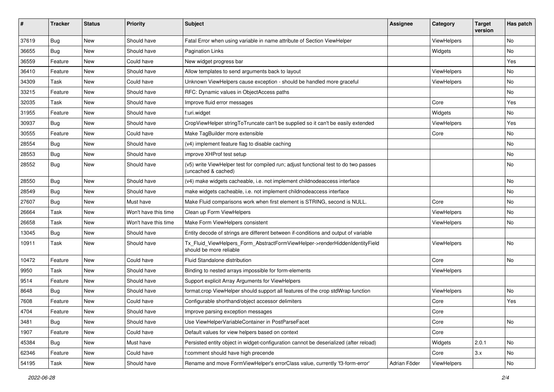| ∦     | <b>Tracker</b> | <b>Status</b> | <b>Priority</b>      | <b>Subject</b>                                                                                              | <b>Assignee</b> | Category    | <b>Target</b><br>version | Has patch |
|-------|----------------|---------------|----------------------|-------------------------------------------------------------------------------------------------------------|-----------------|-------------|--------------------------|-----------|
| 37619 | Bug            | New           | Should have          | Fatal Error when using variable in name attribute of Section ViewHelper                                     |                 | ViewHelpers |                          | No        |
| 36655 | Bug            | New           | Should have          | Pagination Links                                                                                            |                 | Widgets     |                          | No        |
| 36559 | Feature        | New           | Could have           | New widget progress bar                                                                                     |                 |             |                          | Yes       |
| 36410 | Feature        | New           | Should have          | Allow templates to send arguments back to layout                                                            |                 | ViewHelpers |                          | No        |
| 34309 | Task           | New           | Could have           | Unknown ViewHelpers cause exception - should be handled more graceful                                       |                 | ViewHelpers |                          | No        |
| 33215 | Feature        | <b>New</b>    | Should have          | RFC: Dynamic values in ObjectAccess paths                                                                   |                 |             |                          | No.       |
| 32035 | Task           | New           | Should have          | Improve fluid error messages                                                                                |                 | Core        |                          | Yes       |
| 31955 | Feature        | New           | Should have          | f:uri.widget                                                                                                |                 | Widgets     |                          | No.       |
| 30937 | Bug            | New           | Should have          | CropViewHelper stringToTruncate can't be supplied so it can't be easily extended                            |                 | ViewHelpers |                          | Yes       |
| 30555 | Feature        | New           | Could have           | Make TagBuilder more extensible                                                                             |                 | Core        |                          | No        |
| 28554 | <b>Bug</b>     | New           | Should have          | (v4) implement feature flag to disable caching                                                              |                 |             |                          | No        |
| 28553 | Bug            | New           | Should have          | improve XHProf test setup                                                                                   |                 |             |                          | No        |
| 28552 | Bug            | New           | Should have          | (v5) write ViewHelper test for compiled run; adjust functional test to do two passes<br>(uncached & cached) |                 |             |                          | No        |
| 28550 | Bug            | New           | Should have          | (v4) make widgets cacheable, i.e. not implement childnodeaccess interface                                   |                 |             |                          | No        |
| 28549 | Bug            | New           | Should have          | make widgets cacheable, i.e. not implement childnodeaccess interface                                        |                 |             |                          | No        |
| 27607 | Bug            | New           | Must have            | Make Fluid comparisons work when first element is STRING, second is NULL.                                   |                 | Core        |                          | No        |
| 26664 | Task           | New           | Won't have this time | Clean up Form ViewHelpers                                                                                   |                 | ViewHelpers |                          | No        |
| 26658 | Task           | New           | Won't have this time | Make Form ViewHelpers consistent                                                                            |                 | ViewHelpers |                          | No        |
| 13045 | Bug            | New           | Should have          | Entity decode of strings are different between if-conditions and output of variable                         |                 |             |                          |           |
| 10911 | Task           | New           | Should have          | Tx Fluid ViewHelpers Form AbstractFormViewHelper->renderHiddenIdentityField<br>should be more reliable      |                 | ViewHelpers |                          | No        |
| 10472 | Feature        | New           | Could have           | <b>Fluid Standalone distribution</b>                                                                        |                 | Core        |                          | No        |
| 9950  | Task           | New           | Should have          | Binding to nested arrays impossible for form-elements                                                       |                 | ViewHelpers |                          |           |
| 9514  | Feature        | New           | Should have          | Support explicit Array Arguments for ViewHelpers                                                            |                 |             |                          |           |
| 8648  | Bug            | New           | Should have          | format.crop ViewHelper should support all features of the crop stdWrap function                             |                 | ViewHelpers |                          | No        |
| 7608  | Feature        | <b>New</b>    | Could have           | Configurable shorthand/object accessor delimiters                                                           |                 | Core        |                          | Yes       |
| 4704  | Feature        | New           | Should have          | Improve parsing exception messages                                                                          |                 | Core        |                          |           |
| 3481  | Bug            | New           | Should have          | Use ViewHelperVariableContainer in PostParseFacet                                                           |                 | Core        |                          | No        |
| 1907  | Feature        | New           | Could have           | Default values for view helpers based on context                                                            |                 | Core        |                          |           |
| 45384 | <b>Bug</b>     | New           | Must have            | Persisted entity object in widget-configuration cannot be deserialized (after reload)                       |                 | Widgets     | 2.0.1                    | No        |
| 62346 | Feature        | New           | Could have           | f:comment should have high precende                                                                         |                 | Core        | 3.x                      | No        |
| 54195 | Task           | New           | Should have          | Rename and move FormViewHelper's errorClass value, currently 'f3-form-error'                                | Adrian Föder    | ViewHelpers |                          | No        |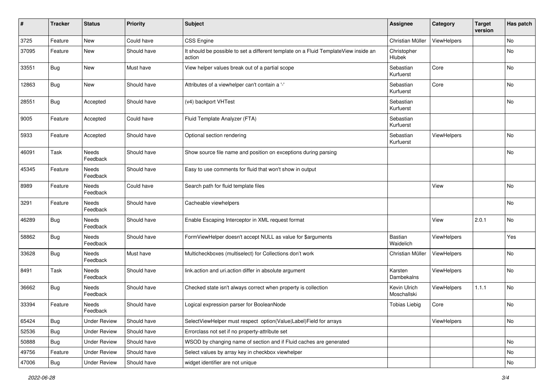| #     | <b>Tracker</b> | <b>Status</b>       | <b>Priority</b> | <b>Subject</b>                                                                                | Assignee                    | Category           | <b>Target</b><br>version | Has patch |
|-------|----------------|---------------------|-----------------|-----------------------------------------------------------------------------------------------|-----------------------------|--------------------|--------------------------|-----------|
| 3725  | Feature        | New                 | Could have      | <b>CSS Engine</b>                                                                             | Christian Müller            | ViewHelpers        |                          | No        |
| 37095 | Feature        | New                 | Should have     | It should be possible to set a different template on a Fluid TemplateView inside an<br>action | Christopher<br>Hlubek       |                    |                          | No        |
| 33551 | <b>Bug</b>     | New                 | Must have       | View helper values break out of a partial scope                                               | Sebastian<br>Kurfuerst      | Core               |                          | <b>No</b> |
| 12863 | Bug            | <b>New</b>          | Should have     | Attributes of a viewhelper can't contain a '-'                                                | Sebastian<br>Kurfuerst      | Core               |                          | No        |
| 28551 | Bug            | Accepted            | Should have     | (v4) backport VHTest                                                                          | Sebastian<br>Kurfuerst      |                    |                          | No        |
| 9005  | Feature        | Accepted            | Could have      | Fluid Template Analyzer (FTA)                                                                 | Sebastian<br>Kurfuerst      |                    |                          |           |
| 5933  | Feature        | Accepted            | Should have     | Optional section rendering                                                                    | Sebastian<br>Kurfuerst      | ViewHelpers        |                          | No        |
| 46091 | Task           | Needs<br>Feedback   | Should have     | Show source file name and position on exceptions during parsing                               |                             |                    |                          | No        |
| 45345 | Feature        | Needs<br>Feedback   | Should have     | Easy to use comments for fluid that won't show in output                                      |                             |                    |                          |           |
| 8989  | Feature        | Needs<br>Feedback   | Could have      | Search path for fluid template files                                                          |                             | View               |                          | <b>No</b> |
| 3291  | Feature        | Needs<br>Feedback   | Should have     | Cacheable viewhelpers                                                                         |                             |                    |                          | <b>No</b> |
| 46289 | Bug            | Needs<br>Feedback   | Should have     | Enable Escaping Interceptor in XML request format                                             |                             | View               | 2.0.1                    | <b>No</b> |
| 58862 | Bug            | Needs<br>Feedback   | Should have     | FormViewHelper doesn't accept NULL as value for \$arguments                                   | Bastian<br>Waidelich        | <b>ViewHelpers</b> |                          | Yes       |
| 33628 | Bug            | Needs<br>Feedback   | Must have       | Multicheckboxes (multiselect) for Collections don't work                                      | Christian Müller            | ViewHelpers        |                          | No        |
| 8491  | Task           | Needs<br>Feedback   | Should have     | link.action and uri.action differ in absolute argument                                        | Karsten<br>Dambekalns       | <b>ViewHelpers</b> |                          | No        |
| 36662 | Bug            | Needs<br>Feedback   | Should have     | Checked state isn't always correct when property is collection                                | Kevin Ulrich<br>Moschallski | <b>ViewHelpers</b> | 1.1.1                    | No        |
| 33394 | Feature        | Needs<br>Feedback   | Should have     | Logical expression parser for BooleanNode                                                     | <b>Tobias Liebig</b>        | Core               |                          | No        |
| 65424 | Bug            | <b>Under Review</b> | Should have     | SelectViewHelper must respect option(Value Label)Field for arrays                             |                             | ViewHelpers        |                          | No        |
| 52536 | <b>Bug</b>     | <b>Under Review</b> | Should have     | Errorclass not set if no property-attribute set                                               |                             |                    |                          |           |
| 50888 | <b>Bug</b>     | <b>Under Review</b> | Should have     | WSOD by changing name of section and if Fluid caches are generated                            |                             |                    |                          | No        |
| 49756 | Feature        | <b>Under Review</b> | Should have     | Select values by array key in checkbox viewhelper                                             |                             |                    |                          | No        |
| 47006 | Bug            | <b>Under Review</b> | Should have     | widget identifier are not unique                                                              |                             |                    |                          | No        |